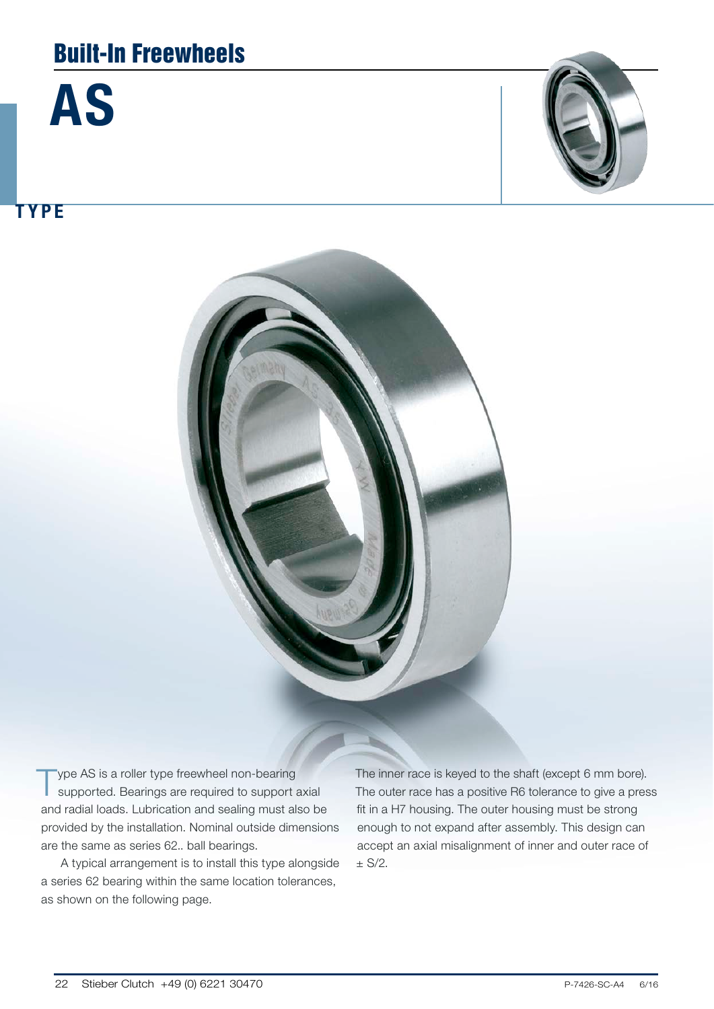## Built-In Freewheels





TYPE



Type AS is a roller type freewheel non-bearing supported. Bearings are required to support axial and radial loads. Lubrication and sealing must also be provided by the installation. Nominal outside dimensions are the same as series 62.. ball bearings.

A typical arrangement is to install this type alongside a series 62 bearing within the same location tolerances, as shown on the following page.

The inner race is keyed to the shaft (except 6 mm bore). The outer race has a positive R6 tolerance to give a press fit in a H7 housing. The outer housing must be strong enough to not expand after assembly. This design can accept an axial misalignment of inner and outer race of  $± S/2.$